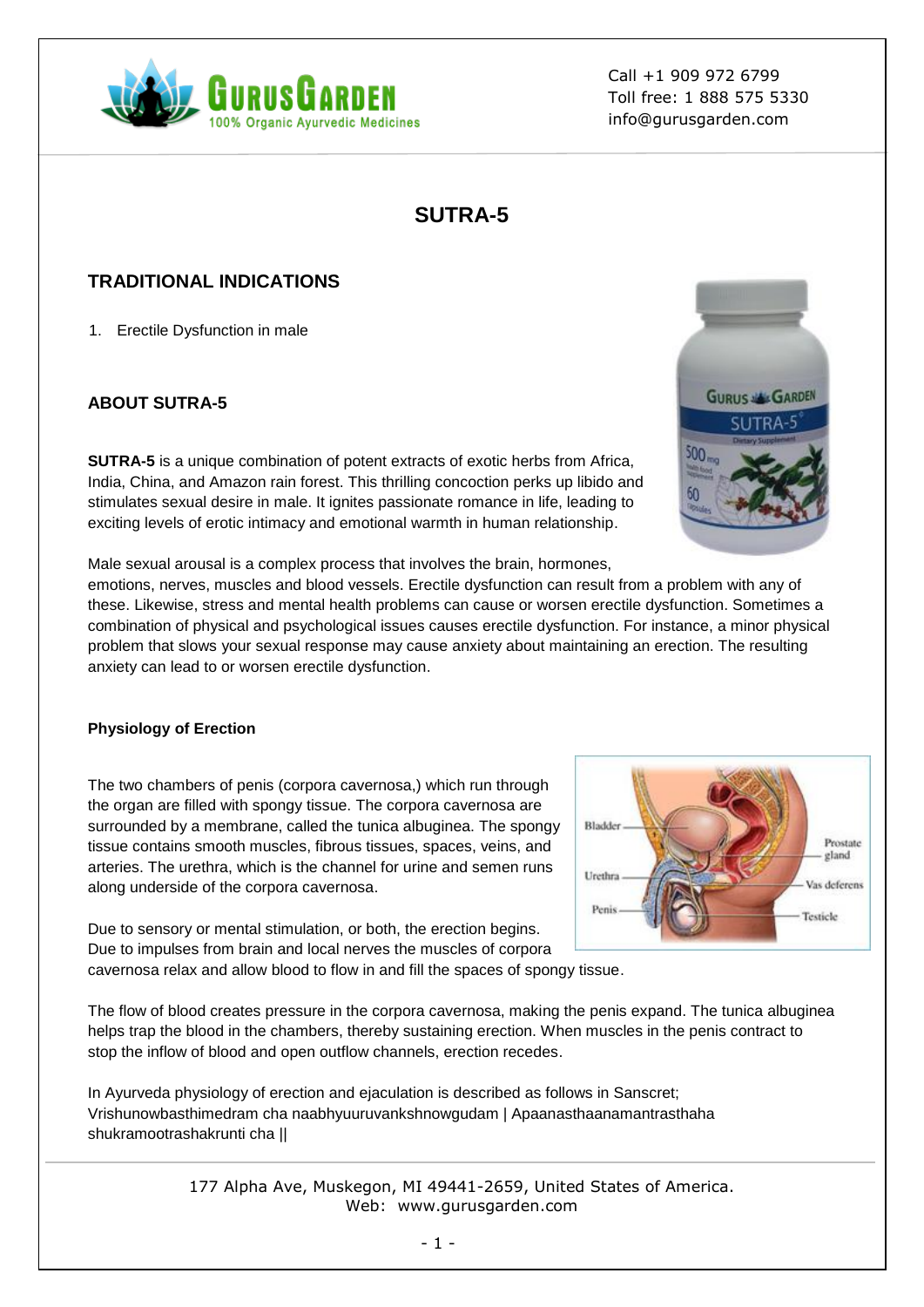

# **SUTRA-5**

## **TRADITIONAL INDICATIONS**

1. Erectile Dysfunction in male

## **ABOUT SUTRA-5**

**SUTRA-5** is a unique combination of potent extracts of exotic herbs from Africa, India, China, and Amazon rain forest. This thrilling concoction perks up libido and stimulates sexual desire in male. It ignites passionate romance in life, leading to exciting levels of erotic intimacy and emotional warmth in human relationship.

Male sexual arousal is a complex process that involves the brain, hormones,

emotions, nerves, muscles and blood vessels. Erectile dysfunction can result from a problem with any of these. Likewise, stress and mental health problems can cause or worsen erectile dysfunction. Sometimes a combination of physical and psychological issues causes erectile dysfunction. For instance, a minor physical problem that slows your sexual response may cause anxiety about maintaining an erection. The resulting anxiety can lead to or worsen erectile dysfunction.

## **Physiology of Erection**

The two chambers of penis (corpora cavernosa,) which run through the organ are filled with spongy tissue. The corpora cavernosa are surrounded by a membrane, called the tunica albuginea. The spongy tissue contains smooth muscles, fibrous tissues, spaces, veins, and arteries. The urethra, which is the channel for urine and semen runs along underside of the corpora cavernosa.

Due to sensory or mental stimulation, or both, the erection begins. Due to impulses from brain and local nerves the muscles of corpora cavernosa relax and allow blood to flow in and fill the spaces of spongy tissue.

The flow of blood creates pressure in the corpora cavernosa, making the penis expand. The tunica albuginea helps trap the blood in the chambers, thereby sustaining erection. When muscles in the penis contract to stop the inflow of blood and open outflow channels, erection recedes.

In Ayurveda physiology of erection and ejaculation is described as follows in Sanscret; Vrishunowbasthimedram cha naabhyuuruvankshnowgudam | Apaanasthaanamantrasthaha shukramootrashakrunti cha ||



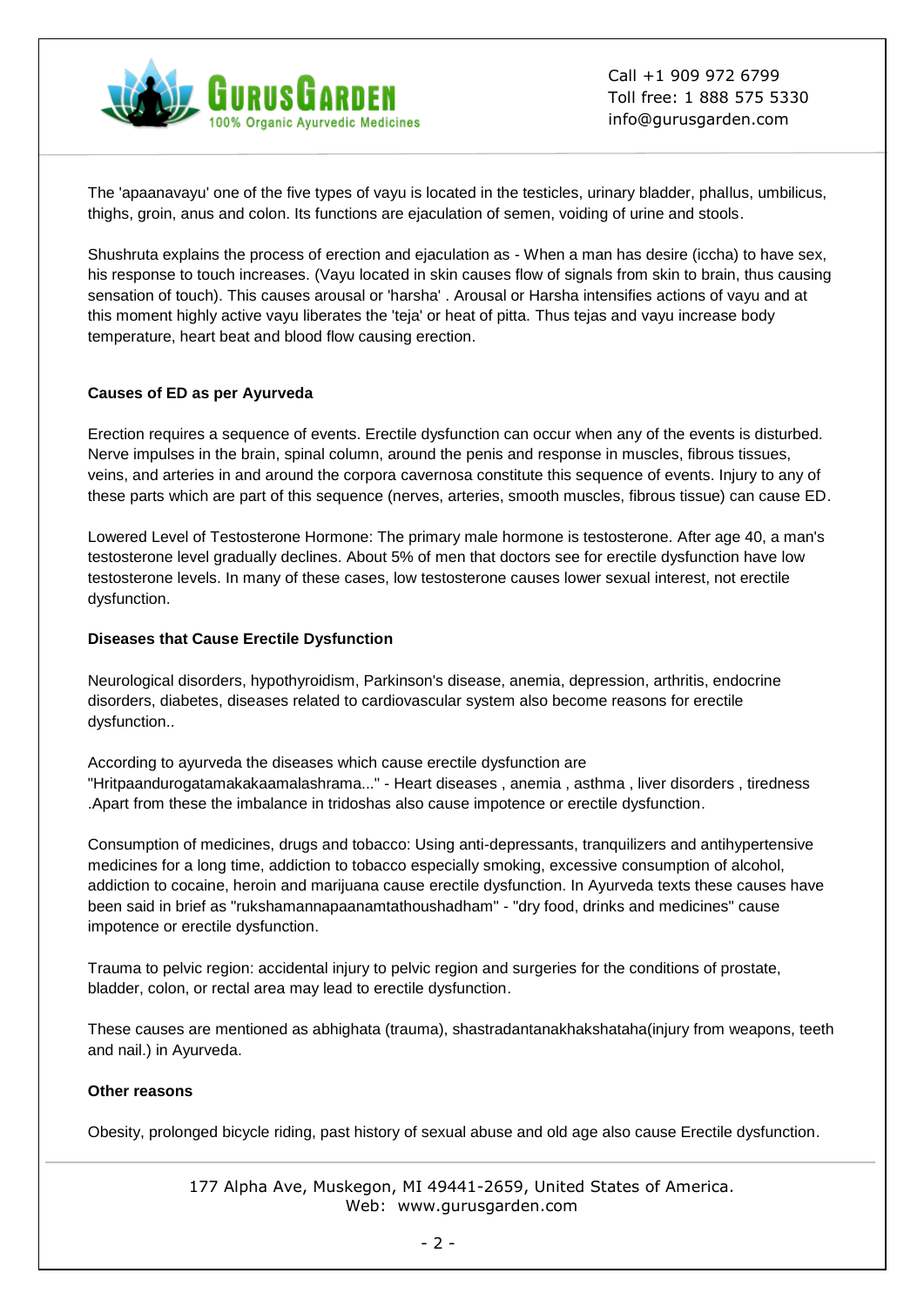

The 'apaanavayu' one of the five types of vayu is located in the testicles, urinary bladder, phallus, umbilicus, thighs, groin, anus and colon. Its functions are ejaculation of semen, voiding of urine and stools.

Shushruta explains the process of erection and ejaculation as - When a man has desire (iccha) to have sex, his response to touch increases. (Vayu located in skin causes flow of signals from skin to brain, thus causing sensation of touch). This causes arousal or 'harsha' . Arousal or Harsha intensifies actions of vayu and at this moment highly active vayu liberates the 'teja' or heat of pitta. Thus tejas and vayu increase body temperature, heart beat and blood flow causing erection.

#### **Causes of ED as per Ayurveda**

Erection requires a sequence of events. Erectile dysfunction can occur when any of the events is disturbed. Nerve impulses in the brain, spinal column, around the penis and response in muscles, fibrous tissues, veins, and arteries in and around the corpora cavernosa constitute this sequence of events. Injury to any of these parts which are part of this sequence (nerves, arteries, smooth muscles, fibrous tissue) can cause ED.

Lowered Level of Testosterone Hormone: The primary male hormone is testosterone. After age 40, a man's testosterone level gradually declines. About 5% of men that doctors see for erectile dysfunction have low testosterone levels. In many of these cases, low testosterone causes lower sexual interest, not erectile dysfunction.

#### **Diseases that Cause Erectile Dysfunction**

Neurological disorders, hypothyroidism, Parkinson's disease, anemia, depression, arthritis, endocrine disorders, diabetes, diseases related to cardiovascular system also become reasons for erectile dysfunction..

According to ayurveda the diseases which cause erectile dysfunction are "Hritpaandurogatamakakaamalashrama..." - Heart diseases , anemia , asthma , liver disorders , tiredness .Apart from these the imbalance in tridoshas also cause impotence or erectile dysfunction.

Consumption of medicines, drugs and tobacco: Using anti-depressants, tranquilizers and antihypertensive medicines for a long time, addiction to tobacco especially smoking, excessive consumption of alcohol, addiction to cocaine, heroin and marijuana cause erectile dysfunction. In Ayurveda texts these causes have been said in brief as "rukshamannapaanamtathoushadham" - "dry food, drinks and medicines" cause impotence or erectile dysfunction.

Trauma to pelvic region: accidental injury to pelvic region and surgeries for the conditions of prostate, bladder, colon, or rectal area may lead to erectile dysfunction.

These causes are mentioned as abhighata (trauma), shastradantanakhakshataha(injury from weapons, teeth and nail.) in Ayurveda.

#### **Other reasons**

Obesity, prolonged bicycle riding, past history of sexual abuse and old age also cause Erectile dysfunction.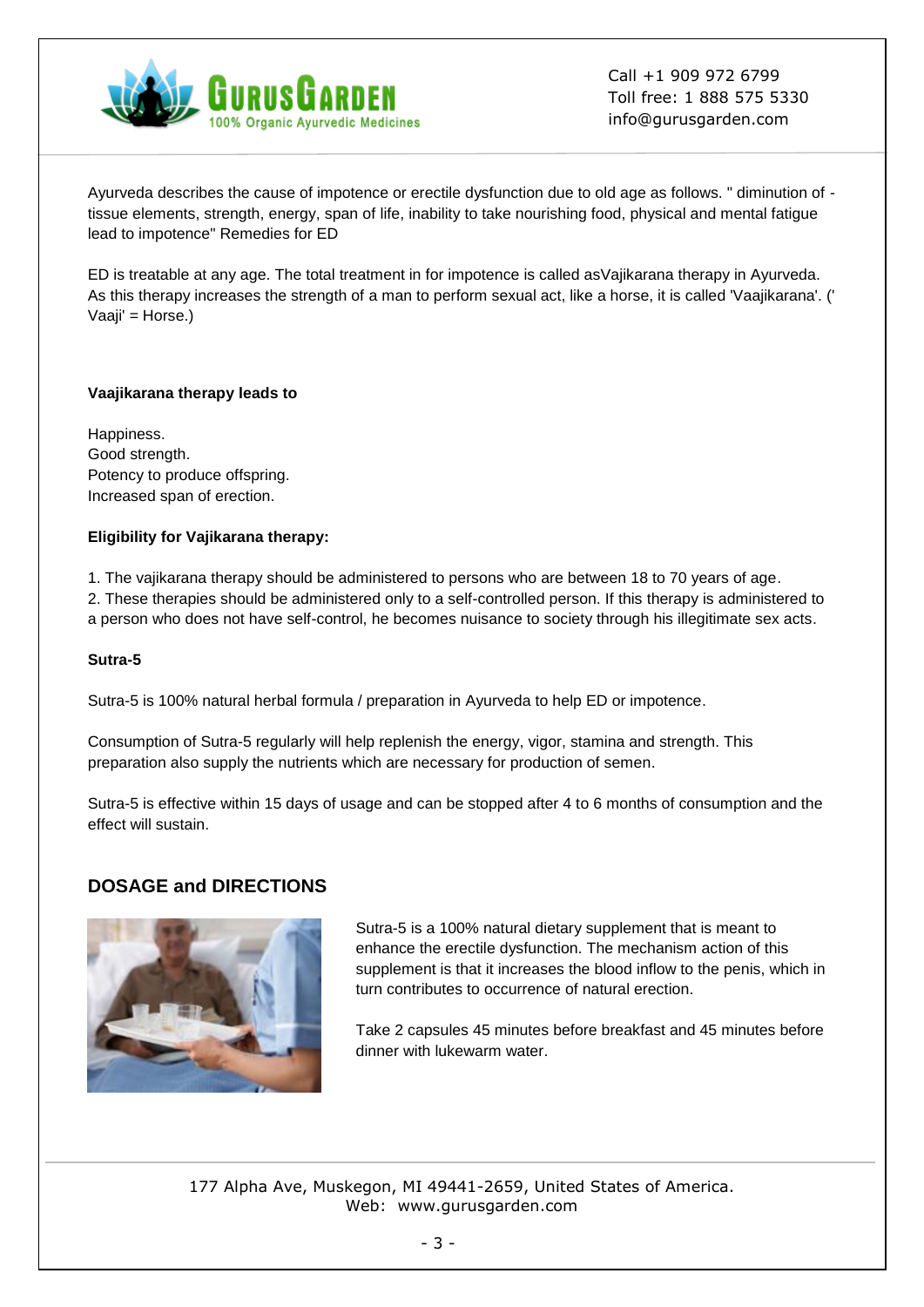

Ayurveda describes the cause of impotence or erectile dysfunction due to old age as follows. " diminution of tissue elements, strength, energy, span of life, inability to take nourishing food, physical and mental fatigue lead to impotence" Remedies for ED

ED is treatable at any age. The total treatment in for impotence is called asVajikarana therapy in Ayurveda. As this therapy increases the strength of a man to perform sexual act, like a horse, it is called 'Vaajikarana'. (' Vaaji' = Horse.)

#### **Vaajikarana therapy leads to**

Happiness. Good strength. Potency to produce offspring. Increased span of erection.

#### **Eligibility for Vajikarana therapy:**

1. The vajikarana therapy should be administered to persons who are between 18 to 70 years of age.

2. These therapies should be administered only to a self-controlled person. If this therapy is administered to a person who does not have self-control, he becomes nuisance to society through his illegitimate sex acts.

#### **Sutra-5**

Sutra-5 is 100% natural herbal formula / preparation in Ayurveda to help ED or impotence.

Consumption of Sutra-5 regularly will help replenish the energy, vigor, stamina and strength. This preparation also supply the nutrients which are necessary for production of semen.

Sutra-5 is effective within 15 days of usage and can be stopped after 4 to 6 months of consumption and the effect will sustain.

## **DOSAGE and DIRECTIONS**



Sutra-5 is a 100% natural dietary supplement that is meant to enhance the erectile dysfunction. The mechanism action of this supplement is that it increases the blood inflow to the penis, which in turn contributes to occurrence of natural erection.

Take 2 capsules 45 minutes before breakfast and 45 minutes before dinner with lukewarm water.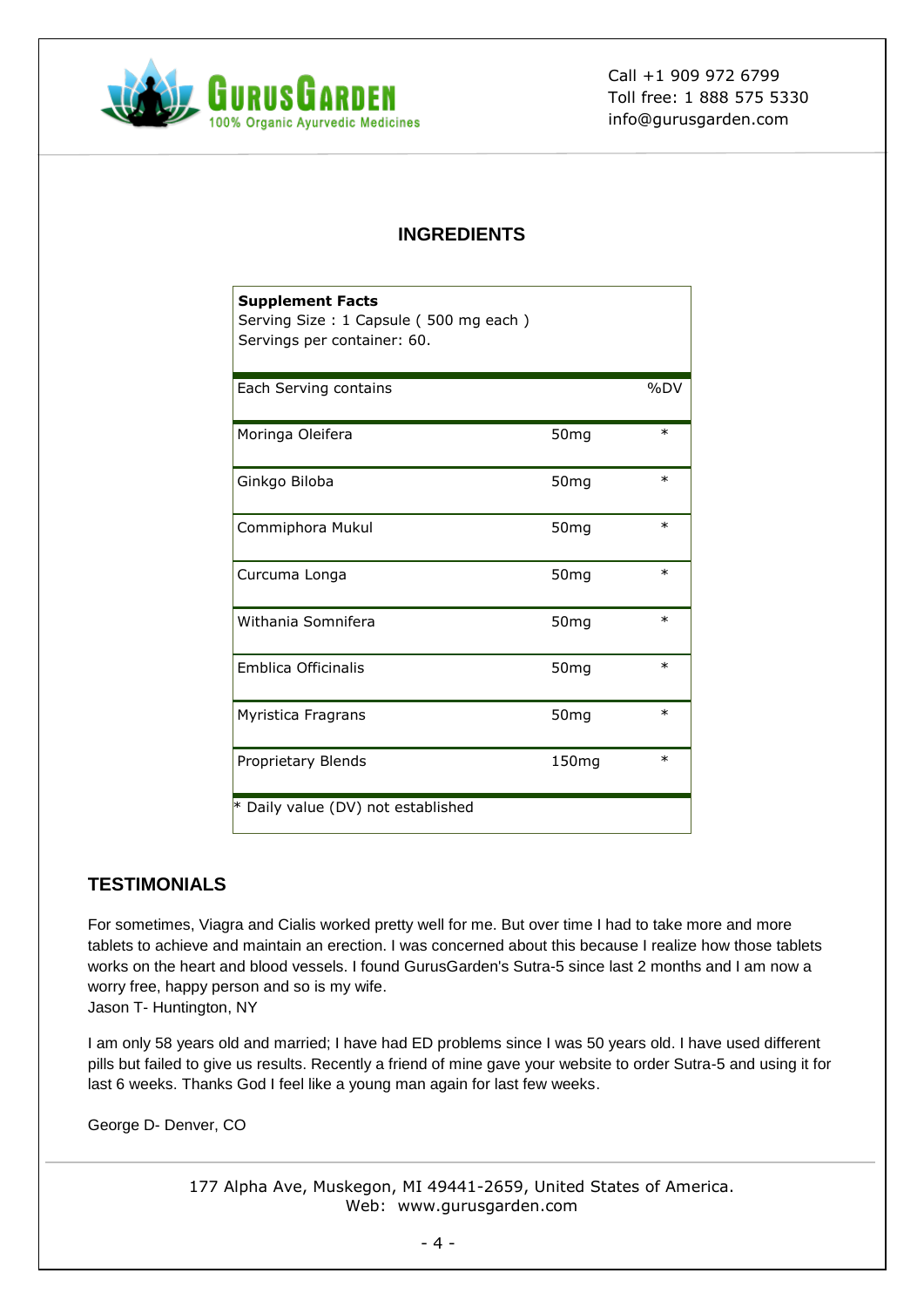

## **INGREDIENTS**

| <b>Supplement Facts</b><br>Serving Size: 1 Capsule (500 mg each)<br>Servings per container: 60. |                   |         |
|-------------------------------------------------------------------------------------------------|-------------------|---------|
| Each Serving contains                                                                           |                   | $96$ DV |
| Moringa Oleifera                                                                                | 50 <sub>mg</sub>  | $\ast$  |
| Ginkgo Biloba                                                                                   | 50 <sub>mg</sub>  | $\ast$  |
| Commiphora Mukul                                                                                | 50 <sub>mg</sub>  | $\ast$  |
| Curcuma Longa                                                                                   | 50 <sub>mg</sub>  | $\ast$  |
| Withania Somnifera                                                                              | 50 <sub>mg</sub>  | $\ast$  |
| <b>Emblica Officinalis</b>                                                                      | 50 <sub>mg</sub>  | $\ast$  |
| Myristica Fragrans                                                                              | 50 <sub>mg</sub>  | $\ast$  |
| Proprietary Blends                                                                              | 150 <sub>mg</sub> | $\ast$  |
| * Daily value (DV) not established                                                              |                   |         |

## **TESTIMONIALS**

For sometimes, Viagra and Cialis worked pretty well for me. But over time I had to take more and more tablets to achieve and maintain an erection. I was concerned about this because I realize how those tablets works on the heart and blood vessels. I found GurusGarden's Sutra-5 since last 2 months and I am now a worry free, happy person and so is my wife. Jason T- Huntington, NY

I am only 58 years old and married; I have had ED problems since I was 50 years old. I have used different pills but failed to give us results. Recently a friend of mine gave your website to order Sutra-5 and using it for last 6 weeks. Thanks God I feel like a young man again for last few weeks.

George D- Denver, CO